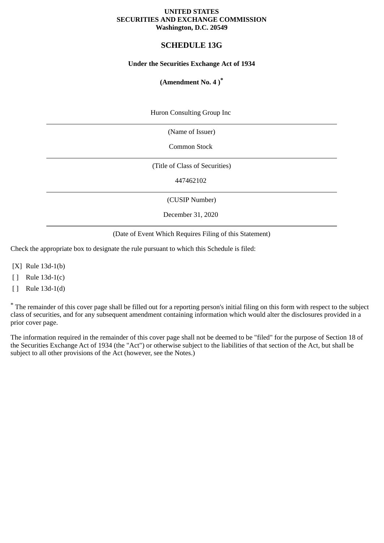#### **UNITED STATES SECURITIES AND EXCHANGE COMMISSION Washington, D.C. 20549**

# **SCHEDULE 13G**

## **Under the Securities Exchange Act of 1934**

# **(Amendment No. 4 )\***

Huron Consulting Group Inc

(Name of Issuer)

Common Stock

(Title of Class of Securities)

447462102

(CUSIP Number)

December 31, 2020

(Date of Event Which Requires Filing of this Statement)

Check the appropriate box to designate the rule pursuant to which this Schedule is filed:

[X] Rule 13d-1(b)

[ ] Rule 13d-1(c)

[ ] Rule 13d-1(d)

\* The remainder of this cover page shall be filled out for a reporting person's initial filing on this form with respect to the subject class of securities, and for any subsequent amendment containing information which would alter the disclosures provided in a prior cover page.

The information required in the remainder of this cover page shall not be deemed to be "filed" for the purpose of Section 18 of the Securities Exchange Act of 1934 (the "Act") or otherwise subject to the liabilities of that section of the Act, but shall be subject to all other provisions of the Act (however, see the Notes.)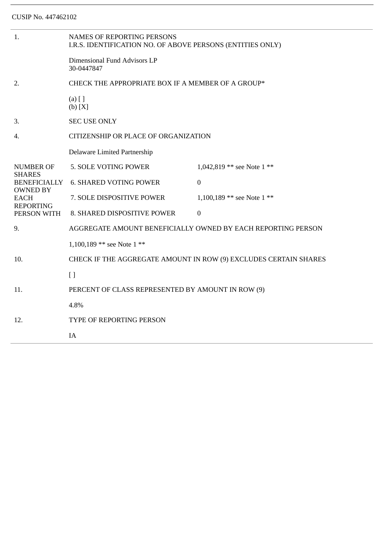| 1.                                                                                         | <b>NAMES OF REPORTING PERSONS</b><br>I.R.S. IDENTIFICATION NO. OF ABOVE PERSONS (ENTITIES ONLY) |                            |  |
|--------------------------------------------------------------------------------------------|-------------------------------------------------------------------------------------------------|----------------------------|--|
|                                                                                            | Dimensional Fund Advisors LP<br>30-0447847                                                      |                            |  |
| 2.                                                                                         | CHECK THE APPROPRIATE BOX IF A MEMBER OF A GROUP*                                               |                            |  |
|                                                                                            | $(a)$ [ ]<br>(b) [X]                                                                            |                            |  |
| 3.                                                                                         | <b>SEC USE ONLY</b>                                                                             |                            |  |
| 4.                                                                                         | CITIZENSHIP OR PLACE OF ORGANIZATION                                                            |                            |  |
|                                                                                            | Delaware Limited Partnership                                                                    |                            |  |
| <b>NUMBER OF</b><br><b>SHARES</b><br><b>BENEFICIALLY</b><br><b>OWNED BY</b><br><b>EACH</b> | 5. SOLE VOTING POWER                                                                            | 1,042,819 ** see Note 1 ** |  |
|                                                                                            | <b>6. SHARED VOTING POWER</b>                                                                   | $\boldsymbol{0}$           |  |
|                                                                                            | 7. SOLE DISPOSITIVE POWER                                                                       | 1,100,189 ** see Note 1 ** |  |
| <b>REPORTING</b><br>PERSON WITH                                                            | 8. SHARED DISPOSITIVE POWER                                                                     | $\mathbf 0$                |  |
| 9.                                                                                         | AGGREGATE AMOUNT BENEFICIALLY OWNED BY EACH REPORTING PERSON                                    |                            |  |
|                                                                                            | 1,100,189 ** see Note 1 **                                                                      |                            |  |
| 10.                                                                                        | CHECK IF THE AGGREGATE AMOUNT IN ROW (9) EXCLUDES CERTAIN SHARES                                |                            |  |
|                                                                                            | $[ ]$                                                                                           |                            |  |
| 11.                                                                                        | PERCENT OF CLASS REPRESENTED BY AMOUNT IN ROW (9)                                               |                            |  |
|                                                                                            | 4.8%                                                                                            |                            |  |
| 12.                                                                                        | <b>TYPE OF REPORTING PERSON</b>                                                                 |                            |  |
|                                                                                            | IA                                                                                              |                            |  |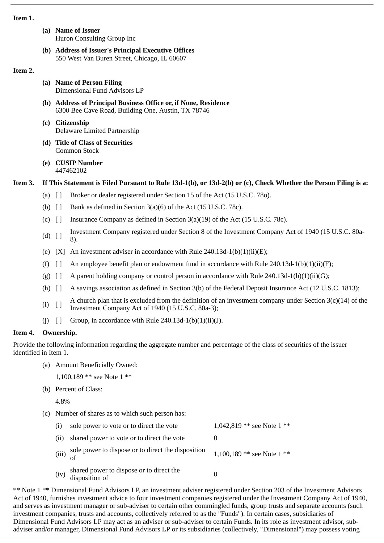#### **Item 1.**

- **(a) Name of Issuer** Huron Consulting Group Inc
- **(b) Address of Issuer's Principal Executive Offices** 550 West Van Buren Street, Chicago, IL 60607

## **Item 2.**

- **(a) Name of Person Filing** Dimensional Fund Advisors LP
- **(b) Address of Principal Business Office or, if None, Residence** 6300 Bee Cave Road, Building One, Austin, TX 78746
- **(c) Citizenship** Delaware Limited Partnership
- **(d) Title of Class of Securities** Common Stock
- **(e) CUSIP Number** 447462102

# **Item 3. If This Statement is Filed Pursuant to Rule 13d-1(b), or 13d-2(b) or (c), Check Whether the Person Filing is a:**

- (a) [ ] Broker or dealer registered under Section 15 of the Act (15 U.S.C. 78o).
- (b)  $\Box$  Bank as defined in Section 3(a)(6) of the Act (15 U.S.C. 78c).
- (c) [ ] Insurance Company as defined in Section 3(a)(19) of the Act (15 U.S.C. 78c).
- (d)  $\begin{bmatrix} 1 \end{bmatrix}$  Investment Company registered under Section 8 of the Investment Company Act of 1940 (15 U.S.C. 80a-8).
- (e)  $[X]$  An investment adviser in accordance with Rule 240.13d-1(b)(1)(ii)(E);
- (f)  $\begin{bmatrix} 1 \\ 1 \end{bmatrix}$  An employee benefit plan or endowment fund in accordance with Rule 240.13d-1(b)(1)(ii)(F);
- (g)  $\left[ \ \right]$  A parent holding company or control person in accordance with Rule 240.13d-1(b)(1)(ii)(G);
- (h) [ ] A savings association as defined in Section 3(b) of the Federal Deposit Insurance Act (12 U.S.C. 1813);
- (i)  $\begin{bmatrix} 1 \end{bmatrix}$  A church plan that is excluded from the definition of an investment company under Section 3(c)(14) of the Investment Company Act of 1940 (15 U.S.C. 80a-3);
- (i)  $\begin{bmatrix} \end{bmatrix}$  Group, in accordance with Rule 240.13d-1(b)(1)(ii)(J).

## **Item 4. Ownership.**

Provide the following information regarding the aggregate number and percentage of the class of securities of the issuer identified in Item 1.

(a) Amount Beneficially Owned:

```
1,100,189 ** see Note 1 **
```
(b) Percent of Class:

4.8%

(c) Number of shares as to which such person has:

| (i) sole power to vote or to direct the vote    | 1,042,819 ** see Note $1$ ** |
|-------------------------------------------------|------------------------------|
| (ii) shared power to vote or to direct the vote |                              |

- (iii) sole power to dispose or to direct the disposition of 1,100,189 \*\* see Note 1 \*\*
- (iv) shared power to dispose or to direct the shared power to dispose or to direct the  $\frac{1}{0}$

\*\* Note 1 \*\* Dimensional Fund Advisors LP, an investment adviser registered under Section 203 of the Investment Advisors Act of 1940, furnishes investment advice to four investment companies registered under the Investment Company Act of 1940, and serves as investment manager or sub-adviser to certain other commingled funds, group trusts and separate accounts (such investment companies, trusts and accounts, collectively referred to as the "Funds"). In certain cases, subsidiaries of Dimensional Fund Advisors LP may act as an adviser or sub-adviser to certain Funds. In its role as investment advisor, subadviser and/or manager, Dimensional Fund Advisors LP or its subsidiaries (collectively, "Dimensional") may possess voting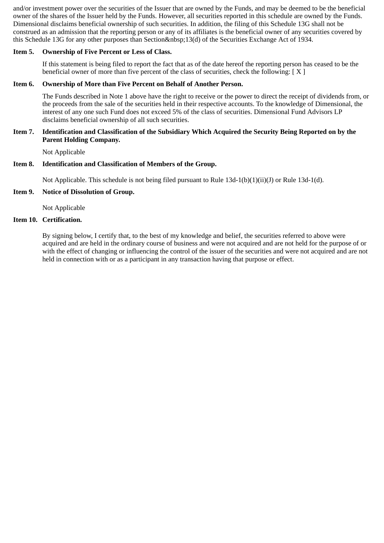and/or investment power over the securities of the Issuer that are owned by the Funds, and may be deemed to be the beneficial owner of the shares of the Issuer held by the Funds. However, all securities reported in this schedule are owned by the Funds. Dimensional disclaims beneficial ownership of such securities. In addition, the filing of this Schedule 13G shall not be construed as an admission that the reporting person or any of its affiliates is the beneficial owner of any securities covered by this Schedule 13G for any other purposes than Section 13(d) of the Securities Exchange Act of 1934.

## **Item 5. Ownership of Five Percent or Less of Class.**

If this statement is being filed to report the fact that as of the date hereof the reporting person has ceased to be the beneficial owner of more than five percent of the class of securities, check the following: [ X ]

## **Item 6. Ownership of More than Five Percent on Behalf of Another Person.**

The Funds described in Note 1 above have the right to receive or the power to direct the receipt of dividends from, or the proceeds from the sale of the securities held in their respective accounts. To the knowledge of Dimensional, the interest of any one such Fund does not exceed 5% of the class of securities. Dimensional Fund Advisors LP disclaims beneficial ownership of all such securities.

#### **Item 7. Identification and Classification of the Subsidiary Which Acquired the Security Being Reported on by the Parent Holding Company.**

Not Applicable

## **Item 8. Identification and Classification of Members of the Group.**

Not Applicable. This schedule is not being filed pursuant to Rule 13d-1(b)(1)(ii)(J) or Rule 13d-1(d).

# **Item 9. Notice of Dissolution of Group.**

Not Applicable

# **Item 10. Certification.**

By signing below, I certify that, to the best of my knowledge and belief, the securities referred to above were acquired and are held in the ordinary course of business and were not acquired and are not held for the purpose of or with the effect of changing or influencing the control of the issuer of the securities and were not acquired and are not held in connection with or as a participant in any transaction having that purpose or effect.